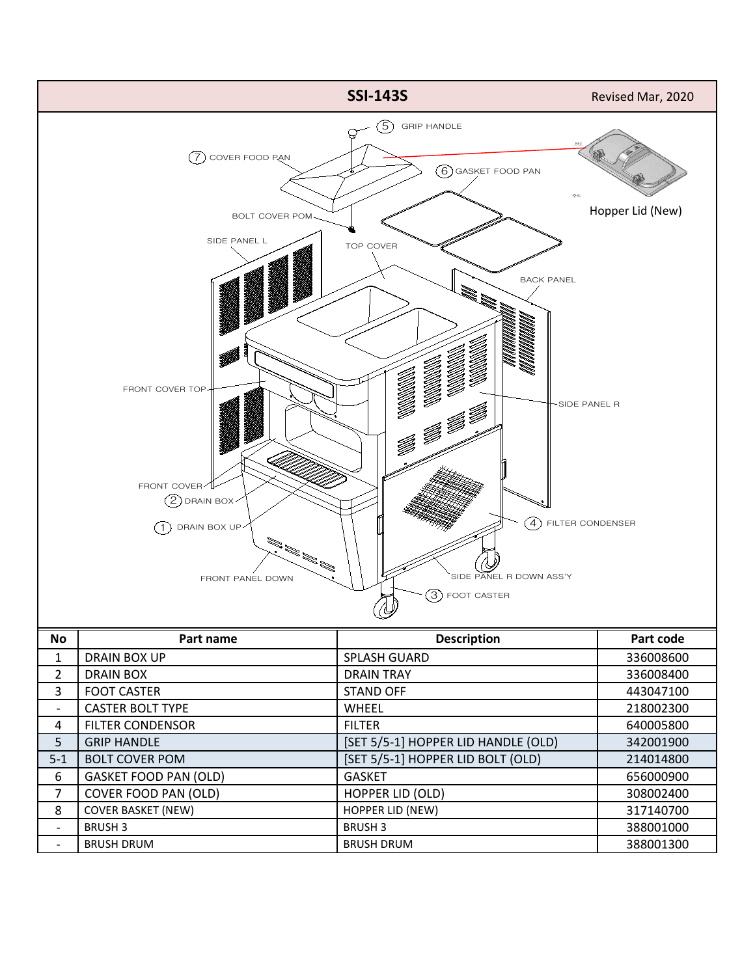

| Δ   | <b>FILTER CONDENSOR</b>      | <b>FILTER</b>                       | 640005800 |
|-----|------------------------------|-------------------------------------|-----------|
|     | <b>GRIP HANDLE</b>           | [SET 5/5-1] HOPPER LID HANDLE (OLD) | 342001900 |
| 5-1 | <b>BOLT COVER POM</b>        | [SET 5/5-1] HOPPER LID BOLT (OLD)   | 214014800 |
| 6   | <b>GASKET FOOD PAN (OLD)</b> | GASKET                              | 656000900 |
|     | COVER FOOD PAN (OLD)         | <b>HOPPER LID (OLD)</b>             | 308002400 |
| 8   | <b>COVER BASKET (NEW)</b>    | <b>HOPPER LID (NEW)</b>             | 317140700 |
|     | <b>BRUSH 3</b>               | <b>BRUSH 3</b>                      | 388001000 |
|     | <b>BRUSH DRUM</b>            | <b>BRUSH DRUM</b>                   | 388001300 |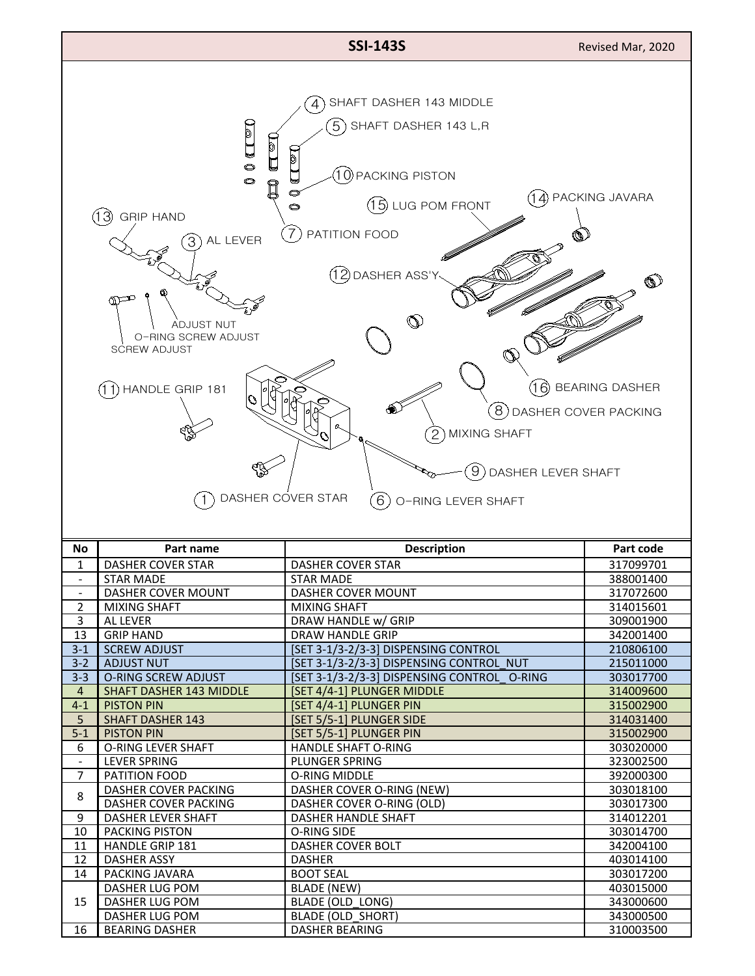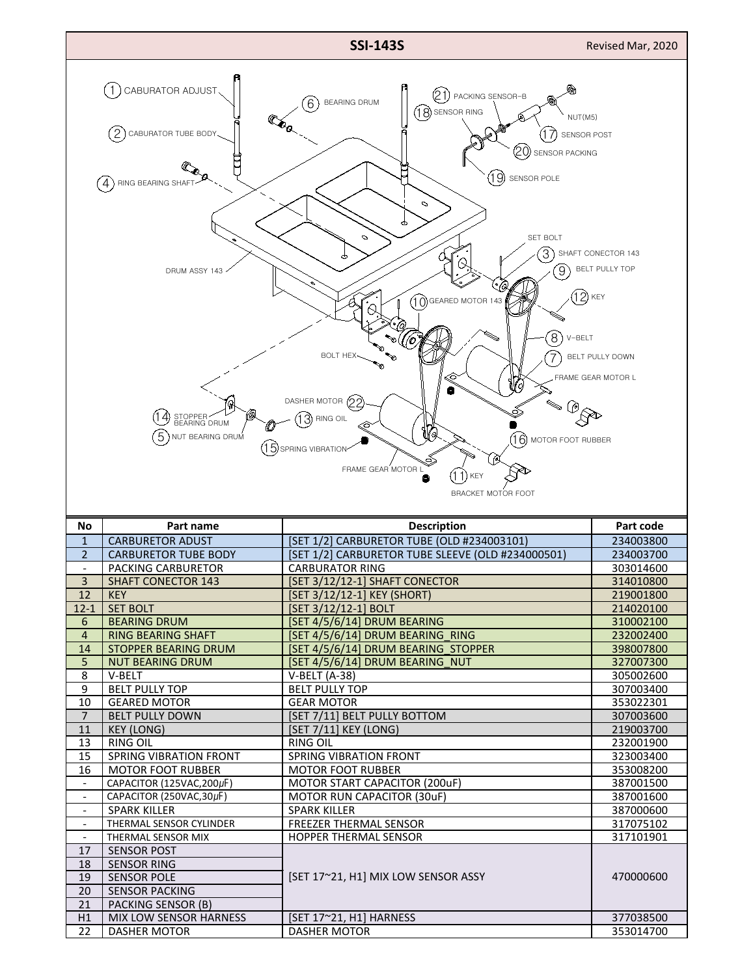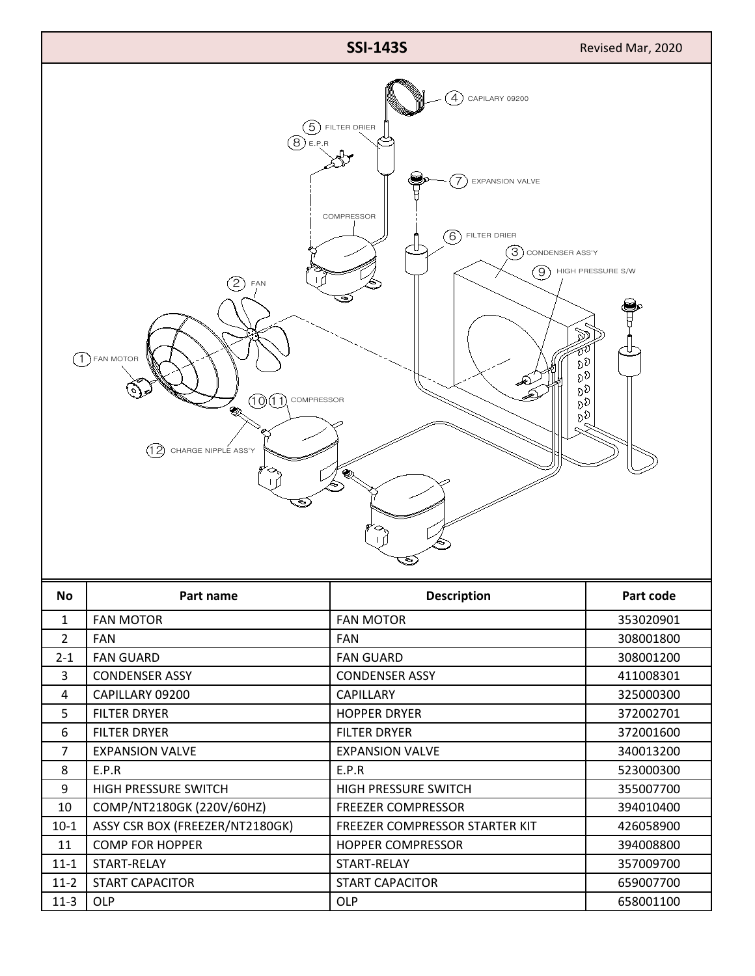

| 47       | <b>I AITUUMIN</b>               | I AII UUAINU                   | <b>JUOUULZUU</b> |
|----------|---------------------------------|--------------------------------|------------------|
| 3        | <b>CONDENSER ASSY</b>           | <b>CONDENSER ASSY</b>          | 411008301        |
| 4        | CAPILLARY 09200                 | <b>CAPILLARY</b>               | 325000300        |
| 5        | <b>FILTER DRYER</b>             | <b>HOPPER DRYER</b>            | 372002701        |
| 6        | <b>FILTER DRYER</b>             | <b>FILTER DRYER</b>            | 372001600        |
| 7        | <b>EXPANSION VALVE</b>          | <b>EXPANSION VALVE</b>         | 340013200        |
| 8        | E.P.R                           | E.P.R                          | 523000300        |
| 9        | HIGH PRESSURE SWITCH            | HIGH PRESSURE SWITCH           | 355007700        |
| 10       | COMP/NT2180GK (220V/60HZ)       | <b>FREEZER COMPRESSOR</b>      | 394010400        |
| $10-1$   | ASSY CSR BOX (FREEZER/NT2180GK) | FREEZER COMPRESSOR STARTER KIT | 426058900        |
| 11       | <b>COMP FOR HOPPER</b>          | <b>HOPPER COMPRESSOR</b>       | 394008800        |
| $11 - 1$ | START-RELAY                     | START-RELAY                    | 357009700        |
| $11 - 2$ | <b>START CAPACITOR</b>          | <b>START CAPACITOR</b>         | 659007700        |
| $11-3$   | <b>OLP</b>                      | <b>OLP</b>                     | 658001100        |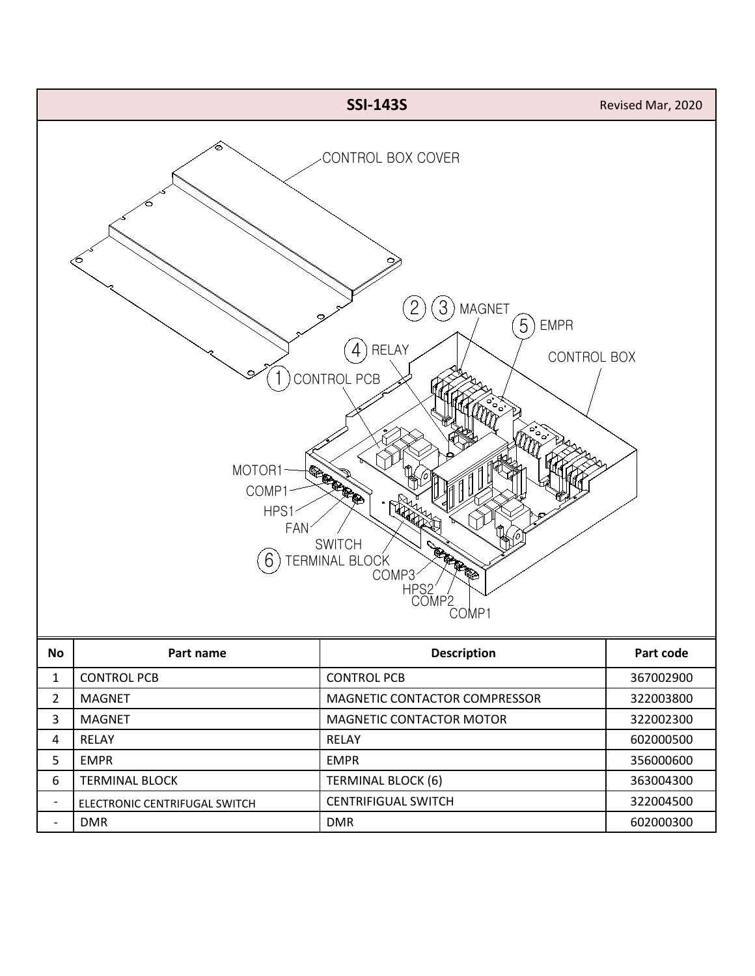